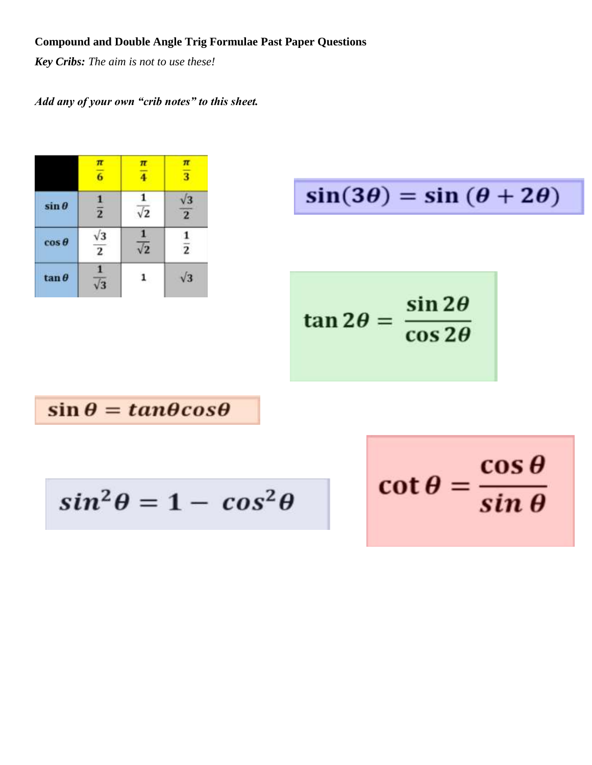# **Compound and Double Angle Trig Formulae Past Paper Questions**

*Key Cribs: The aim is not to use these!*

# *Add any of your own "crib notes" to this sheet.*

|               | $\pi$<br>$\overline{6}$ | $\pi$<br>$\overline{4}$ | $\pi$<br>$\overline{\overline{3}}$ |
|---------------|-------------------------|-------------------------|------------------------------------|
| $\sin\theta$  | $\overline{2}$          | $\sqrt{2}$              | $\overline{2}$                     |
| $\cos\theta$  | $\overline{2}$          | $\sqrt{2}$              | $\frac{1}{2}$                      |
| $\tan \theta$ |                         |                         | $\sqrt{3}$                         |

 $sin(3\theta) = sin(\theta + 2\theta)$ 

$$
\tan 2\theta = \frac{\sin 2\theta}{\cos 2\theta}
$$

 $\sin \theta = \tan \theta \cos \theta$ 

$$
sin^2\theta = 1 - cos^2\theta
$$

$$
\cot\theta = \frac{\cos\theta}{\sin\theta}
$$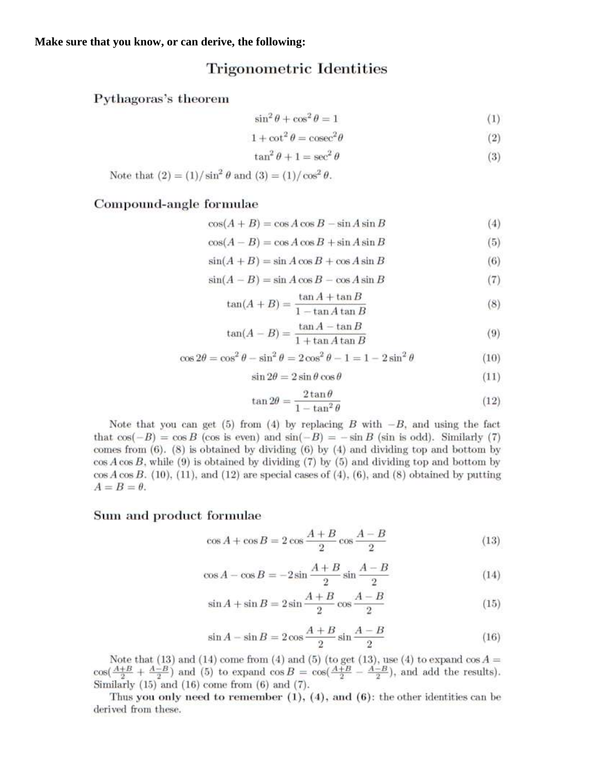# **Trigonometric Identities**

## Pythagoras's theorem

$$
\sin^2 \theta + \cos^2 \theta = 1\tag{1}
$$

$$
1 + \cot^2 \theta = \csc^2 \theta \tag{2}
$$

$$
\tan^2 \theta + 1 = \sec^2 \theta \tag{3}
$$

Note that 
$$
(2) = (1)/\sin^2 \theta
$$
 and  $(3) = (1)/\cos^2 \theta$ .

## Compound-angle formulae

$$
\cos(A+B) = \cos A \cos B - \sin A \sin B \tag{4}
$$

$$
\cos(A - B) = \cos A \cos B + \sin A \sin B \tag{5}
$$

$$
\sin(A+B) = \sin A \cos B + \cos A \sin B \tag{6}
$$

$$
\sin(A - B) = \sin A \cos B - \cos A \sin B \tag{7}
$$

$$
\tan(A+B) = \frac{\tan A + \tan B}{1 - \tan A \tan B} \tag{8}
$$

$$
\tan(A - B) = \frac{\tan A - \tan B}{1 + \tan A \tan B} \tag{9}
$$

$$
\cos 2\theta = \cos^2 \theta - \sin^2 \theta = 2\cos^2 \theta - 1 = 1 - 2\sin^2 \theta \tag{10}
$$

$$
\sin 2\theta = 2\sin \theta \cos \theta \tag{11}
$$

$$
\tan 2\theta = \frac{2\tan\theta}{1-\tan^2\theta} \tag{12}
$$

Note that you can get (5) from (4) by replacing B with  $-B$ , and using the fact that  $\cos(-B) = \cos B$  (cos is even) and  $\sin(-B) = -\sin B$  (sin is odd). Similarly (7) comes from  $(6)$ .  $(8)$  is obtained by dividing  $(6)$  by  $(4)$  and dividing top and bottom by  $\cos A \cos B$ , while (9) is obtained by dividing (7) by (5) and dividing top and bottom by  $\cos A \cos B$ . (10), (11), and (12) are special cases of (4), (6), and (8) obtained by putting  $A = B = \theta.$ 

## Sum and product formulae

$$
\cos A + \cos B = 2\cos\frac{A+B}{2}\cos\frac{A-B}{2} \tag{13}
$$

$$
\cos A - \cos B = -2\sin\frac{A+B}{2}\sin\frac{A-B}{2} \tag{14}
$$

$$
\sin A + \sin B = 2\sin\frac{A+B}{2}\cos\frac{A-B}{2} \tag{15}
$$

$$
\sin A - \sin B = 2\cos\frac{A+B}{2}\sin\frac{A-B}{2} \tag{16}
$$

Note that (13) and (14) come from (4) and (5) (to get (13), use (4) to expand  $\cos A = \cos(\frac{A+B}{2} + \frac{A-B}{2})$  and (5) to expand  $\cos B = \cos(\frac{A+B}{2} - \frac{A-B}{2})$ , and add the results). Similarly  $(15)$  and  $(16)$  come from  $(6)$  and  $(7)$ .

Thus you only need to remember  $(1)$ ,  $(4)$ , and  $(6)$ : the other identities can be derived from these.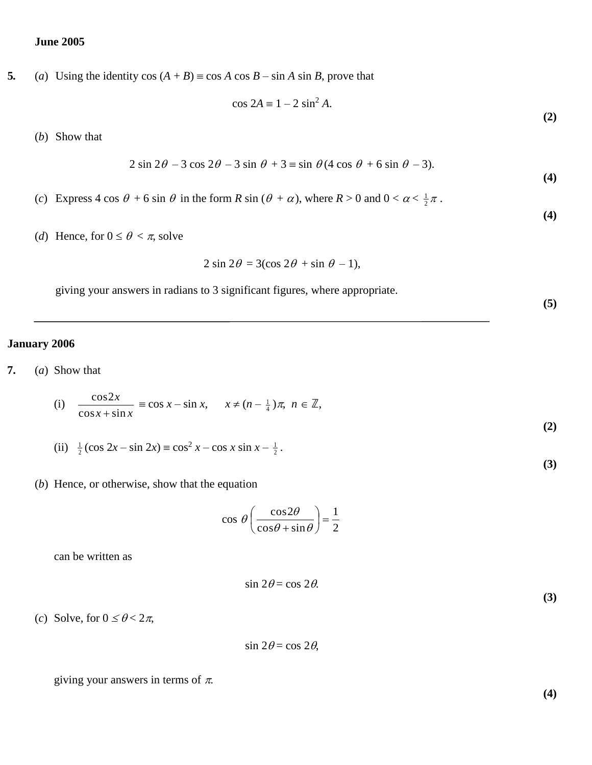## **June 2005**

**5.** (*a*) Using the identity cos  $(A + B) = \cos A \cos B - \sin A \sin B$ , prove that

$$
\cos 2A \equiv 1 - 2 \sin^2 A.
$$

(*b*) Show that

$$
2\sin 2\theta - 3\cos 2\theta - 3\sin \theta + 3\equiv \sin \theta (4\cos \theta + 6\sin \theta - 3).
$$

- (*c*) Express 4 cos  $\theta$  + 6 sin  $\theta$  in the form *R* sin ( $\theta$  +  $\alpha$ ), where *R* > 0 and  $0 < \alpha < \frac{1}{2}\pi$ .
- (*d*) Hence, for  $0 \le \theta < \pi$ , solve

$$
2\sin 2\theta = 3(\cos 2\theta + \sin \theta - 1),
$$

giving your answers in radians to 3 significant figures, where appropriate.

#### **January 2006**

**7.** (*a*) Show that

(i) 
$$
\frac{\cos 2x}{\cos x + \sin x} \equiv \cos x - \sin x, \quad x \neq (n - \frac{1}{4})\pi, \; n \in \mathbb{Z},
$$

- (ii)  $\frac{1}{2}$  (cos 2*x* sin 2*x*) = cos<sup>2</sup> *x* cos *x* sin *x*  $\frac{1}{2}$ .
- (*b*) Hence, or otherwise, show that the equation

$$
\cos \theta \left( \frac{\cos 2\theta}{\cos \theta + \sin \theta} \right) = \frac{1}{2}
$$

can be written as

$$
\sin 2\theta = \cos 2\theta.
$$

(*c*) Solve, for  $0 \le \theta < 2\pi$ ,

 $\sin 2\theta = \cos 2\theta$ ,

giving your answers in terms of  $\pi$ .

**(4)**

**(3)**

**(2)**

**(4)**

**(4)**

**(5)**

**(2)**

**(3)**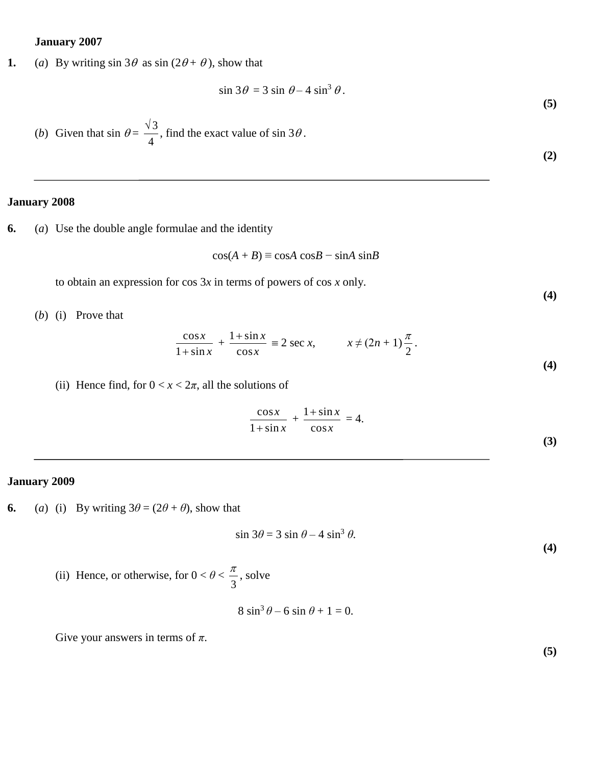#### **January 2007**

**1.** (*a*) By writing  $\sin 3\theta$  as  $\sin (2\theta + \theta)$ , show that

$$
\sin 3\theta = 3 \sin \theta - 4 \sin^3 \theta.
$$

(*b*) Given that  $\sin \theta =$ 4  $\frac{\sqrt{3}}{1}$ , find the exact value of sin 3 $\theta$ .

**(2)**

**(4)**

**(4)**

**(5)**

## **January 2008**

**6.** (*a*) Use the double angle formulae and the identity

$$
\cos(A + B) \equiv \cos A \cos B - \sin A \sin B
$$

to obtain an expression for cos 3*x* in terms of powers of cos *x* only.

(*b*) (i) Prove that

$$
\frac{\cos x}{1+\sin x} + \frac{1+\sin x}{\cos x} \equiv 2 \sec x, \qquad x \neq (2n+1)\frac{\pi}{2}.
$$

(ii) Hence find, for  $0 < x < 2\pi$ , all the solutions of

$$
\frac{\cos x}{1+\sin x} + \frac{1+\sin x}{\cos x} = 4.
$$
 (3)

# **January 2009**

**6.** (*a*) (i) By writing  $3\theta = (2\theta + \theta)$ , show that

$$
\sin 3\theta = 3 \sin \theta - 4 \sin^3 \theta.
$$

(ii) Hence, or otherwise, for  $0 < \theta <$ 3  $\frac{\pi}{2}$ , solve

 $8 \sin^3 \theta - 6 \sin \theta + 1 = 0.$ 

Give your answers in terms of *π*.

**(5)**

**(4)**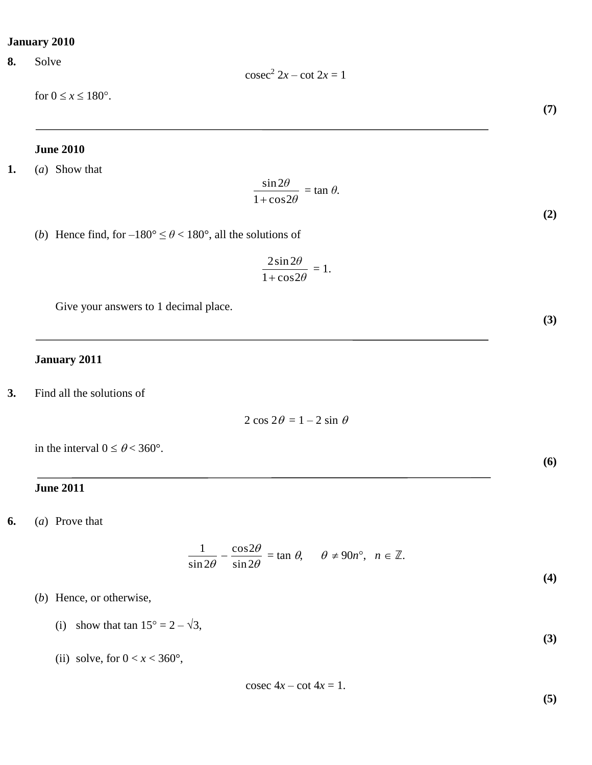## **January 2010**

**8.** Solve

for  $0 \le x \le 180^\circ$ .

#### **June 2010**

**1.** (*a*) Show that

$$
\frac{\sin 2\theta}{1+\cos 2\theta}=\tan \theta.
$$

(*b*) Hence find, for  $-180^\circ \le \theta < 180^\circ$ , all the solutions of

$$
\frac{2\sin 2\theta}{1+\cos 2\theta} = 1.
$$

Give your answers to 1 decimal place.

## **January 2011**

**3.** Find all the solutions of

$$
2\cos 2\theta = 1 - 2\sin \theta
$$

in the interval  $0 \le \theta < 360^{\circ}$ .

## **June 2011**

**6.** (*a*) Prove that

$$
\frac{1}{\sin 2\theta} - \frac{\cos 2\theta}{\sin 2\theta} = \tan \theta, \quad \theta \neq 90n^{\circ}, \quad n \in \mathbb{Z}.
$$

- (*b*) Hence, or otherwise,
	- (i) show that tan  $15^{\circ} = 2 \sqrt{3}$ ,
	- (ii) solve, for  $0 < x < 360^\circ$ ,

$$
cosec 4x - cot 4x = 1.
$$

**(5)**

**(3)**

**(4)**

**(7)**

**(2)**

**(3)**

**(6)**

 $\csc^2 2x - \cot 2x = 1$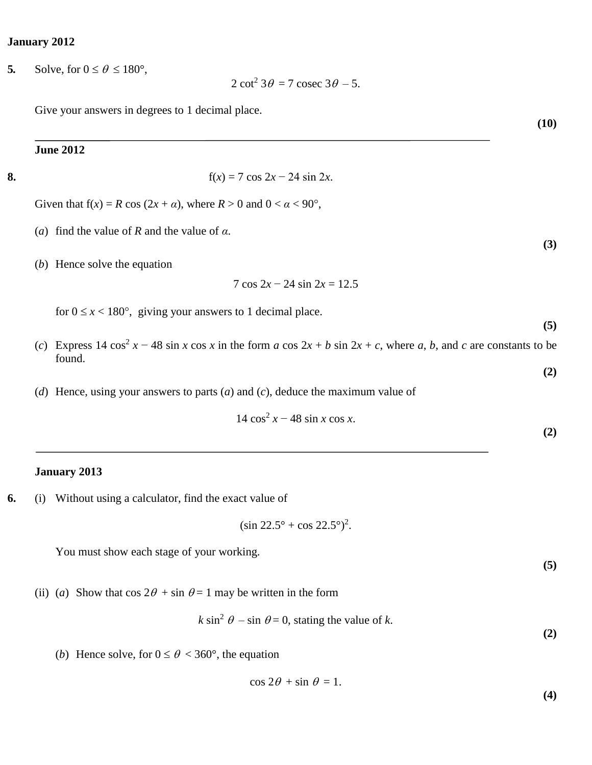#### **January 2012**

**5***.* Solve, for  $0 \le \theta \le 180^\circ$ ,

 $2 \cot^2 3\theta = 7 \csc 3\theta - 5.$ 

Give your answers in degrees to 1 decimal place.

## **June 2012**

**8.** f(*x*) = 7 cos 2*x* − 24 sin 2*x*.

Given that  $f(x) = R \cos(2x + \alpha)$ , where  $R > 0$  and  $0 < \alpha < 90^{\circ}$ ,

- (*a*) find the value of *R* and the value of *α*.
- (*b*) Hence solve the equation

$$
7\cos 2x - 24\sin 2x = 12.5
$$

for  $0 \le x < 180^{\circ}$ , giving your answers to 1 decimal place.

- (*c*) Express 14 cos<sup>2</sup>  $x 48 \sin x \cos x$  in the form *a* cos  $2x + b \sin 2x + c$ , where *a*, *b*, and *c* are constants to be found.
- (*d*) Hence, using your answers to parts (*a*) and (*c*), deduce the maximum value of

$$
14\cos^2 x - 48\sin x \cos x.
$$

#### **January 2013**

**6.** (i) Without using a calculator, find the exact value of

$$
(\sin 22.5^\circ + \cos 22.5^\circ)^2
$$
.

You must show each stage of your working.

(ii) (*a*) Show that  $\cos 2\theta + \sin \theta = 1$  may be written in the form

 $k \sin^2 \theta - \sin \theta = 0$ , stating the value of *k*.

(*b*) Hence solve, for  $0 \le \theta < 360^{\circ}$ , the equation

$$
\cos 2\theta + \sin \theta = 1.
$$

#### **(10)**

**(5)**

**(3)**

**(2)**

**(2)**

**(5)**

**(2)**

**(4)**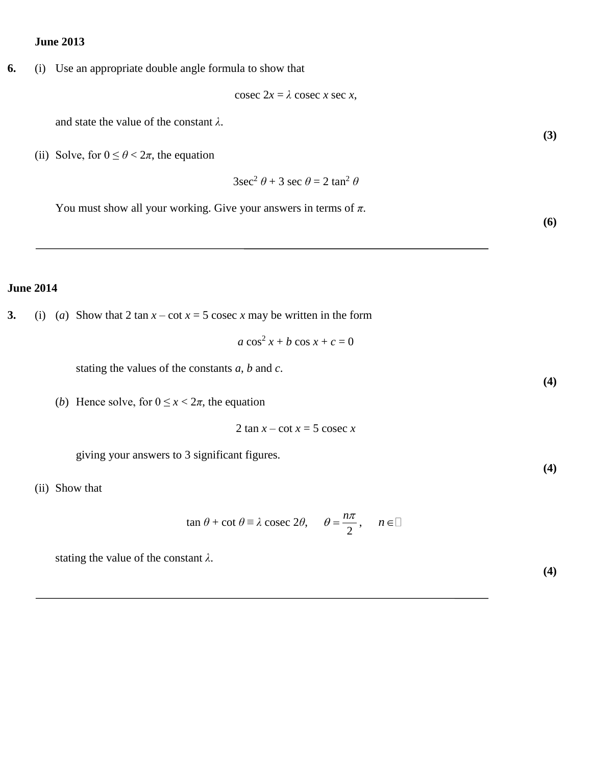## **June 2013**

**6.** (i) Use an appropriate double angle formula to show that

$$
cosec 2x = \lambda cosec x sec x,
$$

and state the value of the constant *λ*.

(ii) Solve, for  $0 \le \theta < 2\pi$ , the equation

$$
3\sec^2\theta + 3\sec\theta = 2\tan^2\theta
$$

You must show all your working. Give your answers in terms of *π*.

# **June 2014**

**3.** (i) (*a*) Show that 2 tan  $x - \cot x = 5$  cosec *x* may be written in the form

$$
a\cos^2 x + b\cos x + c = 0
$$

stating the values of the constants *a*, *b* and *c*.

(*b*) Hence solve, for  $0 \le x < 2\pi$ , the equation

2 tan  $x - \cot x = 5$  cosec  $x$ 

giving your answers to 3 significant figures.

(ii) Show that

$$
\tan \theta + \cot \theta \equiv \lambda \csc 2\theta, \quad \theta = \frac{n\pi}{2}, \quad n \in \mathbb{Z}
$$

stating the value of the constant *λ*.

**(4)**

**(3)**

**(6)**

**(4)**

**(4)**